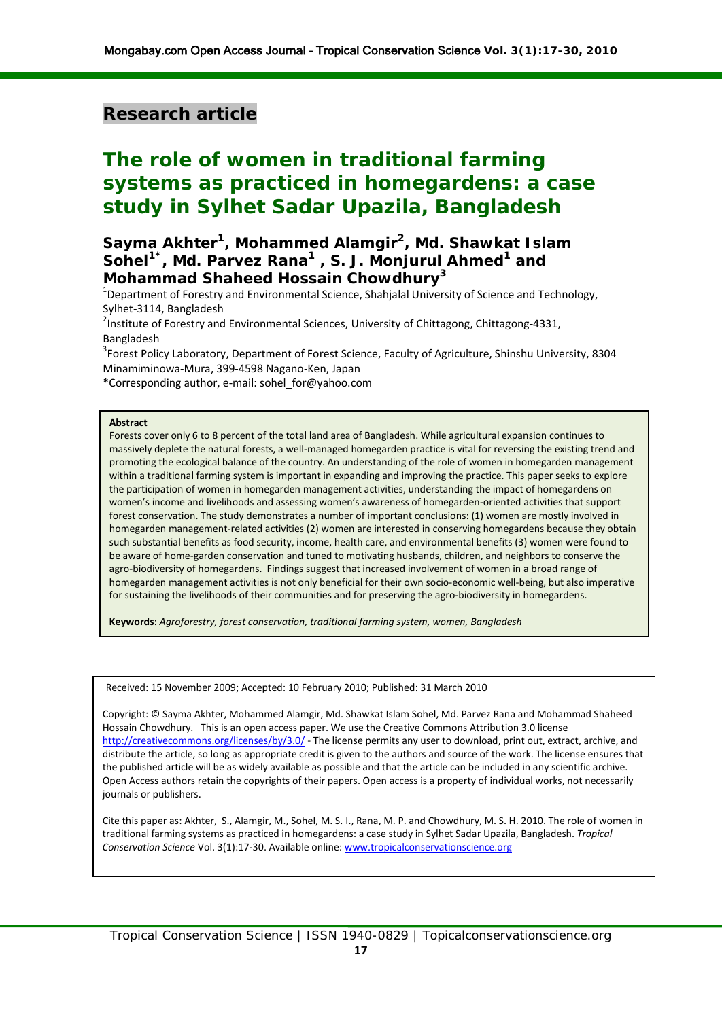# **Research article**

# **The role of women in traditional farming systems as practiced in homegardens: a case study in Sylhet Sadar Upazila, Bangladesh**

# **Sayma Akhter<sup>1</sup> , Mohammed Alamgir<sup>2</sup> , Md. Shawkat Islam Sohel1\*, Md. Parvez Rana1 , S. J. Monjurul Ahmed<sup>1</sup> and Mohammad Shaheed Hossain Chowdhury3**

<sup>1</sup>Department of Forestry and Environmental Science, Shahjalal University of Science and Technology, Sylhet-3114, Bangladesh

<sup>2</sup>Institute of Forestry and Environmental Sciences, University of Chittagong, Chittagong-4331, Bangladesh

<sup>3</sup>Forest Policy Laboratory, Department of Forest Science, Faculty of Agriculture, Shinshu University, 8304 Minamiminowa-Mura, 399-4598 Nagano-Ken, Japan

\*Corresponding author, e-mail[: sohel\\_for@yahoo.com](mailto:sohel_for@yahoo.com)

#### **Abstract**

Forests cover only 6 to 8 percent of the total land area of Bangladesh. While agricultural expansion continues to massively deplete the natural forests, a well-managed homegarden practice is vital for reversing the existing trend and promoting the ecological balance of the country. An understanding of the role of women in homegarden management within a traditional farming system is important in expanding and improving the practice. This paper seeks to explore the participation of women in homegarden management activities, understanding the impact of homegardens on women's income and livelihoods and assessing women's awareness of homegarden-oriented activities that support forest conservation. The study demonstrates a number of important conclusions: (1) women are mostly involved in homegarden management-related activities (2) women are interested in conserving homegardens because they obtain such substantial benefits as food security, income, health care, and environmental benefits (3) women were found to be aware of home-garden conservation and tuned to motivating husbands, children, and neighbors to conserve the agro-biodiversity of homegardens. Findings suggest that increased involvement of women in a broad range of homegarden management activities is not only beneficial for their own socio-economic well-being, but also imperative for sustaining the livelihoods of their communities and for preserving the agro-biodiversity in homegardens.

**Keywords**: *Agroforestry, forest conservation, traditional farming system, women, Bangladesh*

Received: 15 November 2009; Accepted: 10 February 2010; Published: 31 March 2010

Copyright: © Sayma Akhter, Mohammed Alamgir, Md. Shawkat Islam Sohel, Md. Parvez Rana and Mohammad Shaheed Hossain Chowdhury. This is an open access paper. We use the Creative Commons Attribution 3.0 license <http://creativecommons.org/licenses/by/3.0/> - The license permits any user to download, print out, extract, archive, and distribute the article, so long as appropriate credit is given to the authors and source of the work. The license ensures that the published article will be as widely available as possible and that the article can be included in any scientific archive. Open Access authors retain the copyrights of their papers. Open access is a property of individual works, not necessarily journals or publishers.

Cite this paper as: Akhter, S., Alamgir, M., Sohel, M. S. I., Rana, M. P. and Chowdhury, M. S. H. 2010. The role of women in traditional farming systems as practiced in homegardens: a case study in Sylhet Sadar Upazila, Bangladesh. *Tropical Conservation Science* Vol. 3(1):17-30. Available online[: www.tropicalconservationscience.org](http://www.tropicalconservationscience.org/)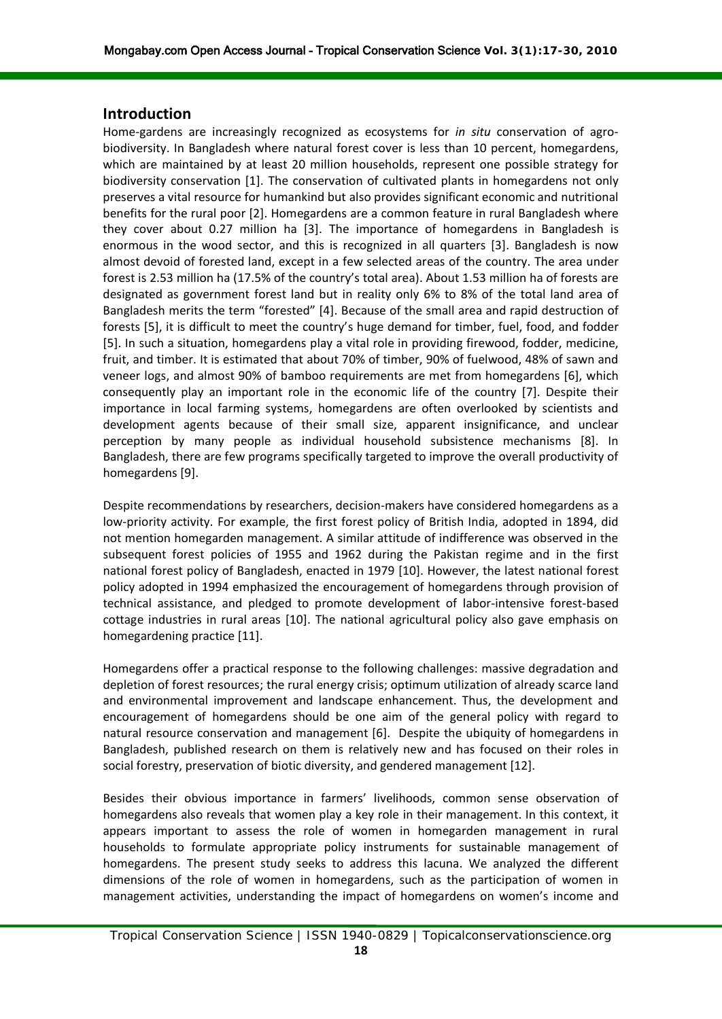#### **Introduction**

Home-gardens are increasingly recognized as ecosystems for *in situ* conservation of agrobiodiversity. In Bangladesh where natural forest cover is less than 10 percent, homegardens, which are maintained by at least 20 million households, represent one possible strategy for biodiversity conservation [1]. The conservation of cultivated plants in homegardens not only preserves a vital resource for humankind but also provides significant economic and nutritional benefits for the rural poor [2]. Homegardens are a common feature in rural Bangladesh where they cover about 0.27 million ha [3]. The importance of homegardens in Bangladesh is enormous in the wood sector, and this is recognized in all quarters [3]. Bangladesh is now almost devoid of forested land, except in a few selected areas of the country. The area under forest is 2.53 million ha (17.5% of the country's total area). About 1.53 million ha of forests are designated as government forest land but in reality only 6% to 8% of the total land area of Bangladesh merits the term "forested" [4]. Because of the small area and rapid destruction of forests [5], it is difficult to meet the country's huge demand for timber, fuel, food, and fodder [5]. In such a situation, homegardens play a vital role in providing firewood, fodder, medicine, fruit, and timber. It is estimated that about 70% of timber, 90% of fuelwood, 48% of sawn and veneer logs, and almost 90% of bamboo requirements are met from homegardens [6], which consequently play an important role in the economic life of the country [7]. Despite their importance in local farming systems, homegardens are often overlooked by scientists and development agents because of their small size, apparent insignificance, and unclear perception by many people as individual household subsistence mechanisms [8]. In Bangladesh, there are few programs specifically targeted to improve the overall productivity of homegardens [9].

Despite recommendations by researchers, decision-makers have considered homegardens as a low-priority activity. For example, the first forest policy of British India, adopted in 1894, did not mention homegarden management. A similar attitude of indifference was observed in the subsequent forest policies of 1955 and 1962 during the Pakistan regime and in the first national forest policy of Bangladesh, enacted in 1979 [10]. However, the latest national forest policy adopted in 1994 emphasized the encouragement of homegardens through provision of technical assistance, and pledged to promote development of labor-intensive forest-based cottage industries in rural areas [10]. The national agricultural policy also gave emphasis on homegardening practice [11].

Homegardens offer a practical response to the following challenges: massive degradation and depletion of forest resources; the rural energy crisis; optimum utilization of already scarce land and environmental improvement and landscape enhancement. Thus, the development and encouragement of homegardens should be one aim of the general policy with regard to natural resource conservation and management [6]. Despite the ubiquity of homegardens in Bangladesh, published research on them is relatively new and has focused on their roles in social forestry, preservation of biotic diversity, and gendered management [12].

Besides their obvious importance in farmers' livelihoods, common sense observation of homegardens also reveals that women play a key role in their management. In this context, it appears important to assess the role of women in homegarden management in rural households to formulate appropriate policy instruments for sustainable management of homegardens. The present study seeks to address this lacuna. We analyzed the different dimensions of the role of women in homegardens, such as the participation of women in management activities, understanding the impact of homegardens on women's income and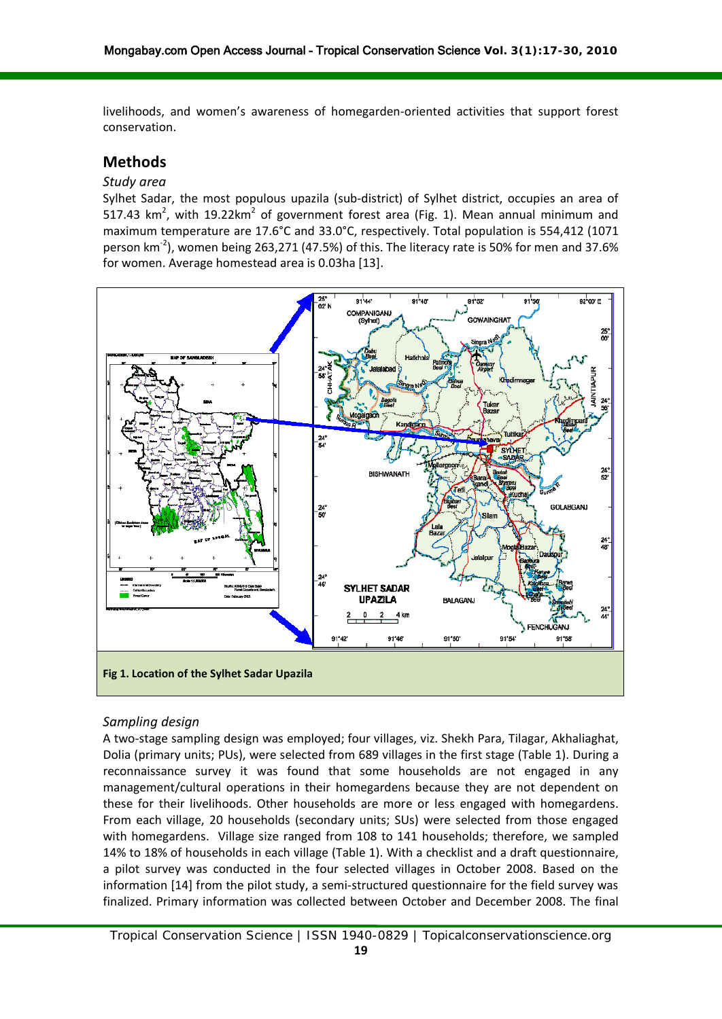livelihoods, and women's awareness of homegarden-oriented activities that support forest conservation.

# **Methods**

#### *Study area*

Sylhet Sadar, the most populous upazila (sub-district) of Sylhet district, occupies an area of 517.43  $km^2$ , with 19.22 $km^2$  of government forest area (Fig. 1). Mean annual minimum and maximum temperature are 17.6°C and 33.0°C, respectively. Total population is 554,412 (1071 person km<sup>-2</sup>), women being 263,271 (47.5%) of this. The literacy rate is 50% for men and 37.6% for women. Average homestead area is 0.03ha [13].



### *Sampling design*

A two-stage sampling design was employed; four villages, viz. Shekh Para, Tilagar, Akhaliaghat, Dolia (primary units; PUs), were selected from 689 villages in the first stage (Table 1). During a reconnaissance survey it was found that some households are not engaged in any management/cultural operations in their homegardens because they are not dependent on these for their livelihoods. Other households are more or less engaged with homegardens. From each village, 20 households (secondary units; SUs) were selected from those engaged with homegardens. Village size ranged from 108 to 141 households; therefore, we sampled 14% to 18% of households in each village (Table 1). With a checklist and a draft questionnaire, a pilot survey was conducted in the four selected villages in October 2008. Based on the information [14] from the pilot study, a semi-structured questionnaire for the field survey was finalized. Primary information was collected between October and December 2008. The final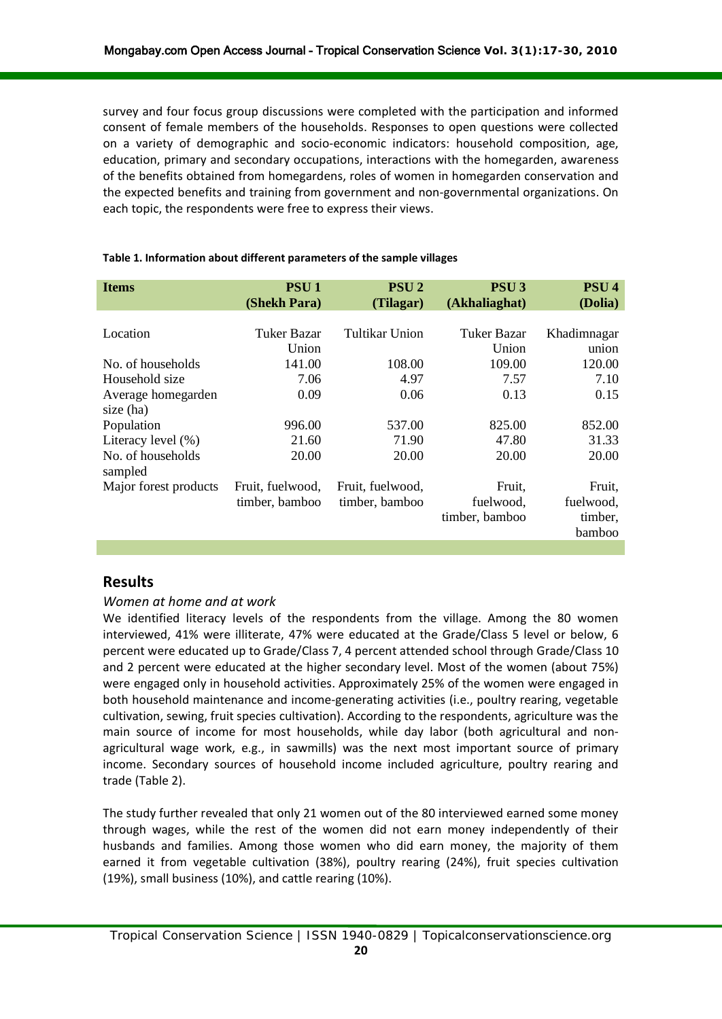survey and four focus group discussions were completed with the participation and informed consent of female members of the households. Responses to open questions were collected on a variety of demographic and socio-economic indicators: household composition, age, education, primary and secondary occupations, interactions with the homegarden, awareness of the benefits obtained from homegardens, roles of women in homegarden conservation and the expected benefits and training from government and non-governmental organizations. On each topic, the respondents were free to express their views.

| <b>Items</b>                 | <b>PSU1</b><br>(Shekh Para) | <b>PSU2</b><br>(Tilagar) | <b>PSU3</b><br>(Akhaliaghat) | PSU <sub>4</sub><br>(Dolia)    |
|------------------------------|-----------------------------|--------------------------|------------------------------|--------------------------------|
|                              |                             |                          |                              |                                |
| Location                     | Tuker Bazar                 | Tultikar Union           | Tuker Bazar                  | Khadimnagar                    |
|                              | Union                       |                          | Union                        | union                          |
| No. of households            | 141.00                      | 108.00                   | 109.00                       | 120.00                         |
| Household size               | 7.06                        | 4.97                     | 7.57                         | 7.10                           |
| Average homegarden           | 0.09                        | 0.06                     | 0.13                         | 0.15                           |
| size (ha)                    |                             |                          |                              |                                |
| Population                   | 996.00                      | 537.00                   | 825.00                       | 852.00                         |
| Literacy level $(\% )$       | 21.60                       | 71.90                    | 47.80                        | 31.33                          |
| No. of households<br>sampled | 20.00                       | 20.00                    | 20.00                        | 20.00                          |
| Major forest products        | Fruit, fuelwood,            | Fruit, fuelwood,         | Fruit,                       | Fruit,                         |
|                              | timber, bamboo              | timber, bamboo           | fuelwood,<br>timber, bamboo  | fuelwood,<br>timber,<br>bamboo |

#### **Table 1. Information about different parameters of the sample villages**

### **Results**

### *Women at home and at work*

We identified literacy levels of the respondents from the village. Among the 80 women interviewed, 41% were illiterate, 47% were educated at the Grade/Class 5 level or below, 6 percent were educated up to Grade/Class 7, 4 percent attended school through Grade/Class 10 and 2 percent were educated at the higher secondary level. Most of the women (about 75%) were engaged only in household activities. Approximately 25% of the women were engaged in both household maintenance and income-generating activities (i.e., poultry rearing, vegetable cultivation, sewing, fruit species cultivation). According to the respondents, agriculture was the main source of income for most households, while day labor (both agricultural and nonagricultural wage work, e.g., in sawmills) was the next most important source of primary income. Secondary sources of household income included agriculture, poultry rearing and trade (Table 2).

The study further revealed that only 21 women out of the 80 interviewed earned some money through wages, while the rest of the women did not earn money independently of their husbands and families. Among those women who did earn money, the majority of them earned it from vegetable cultivation (38%), poultry rearing (24%), fruit species cultivation (19%), small business (10%), and cattle rearing (10%).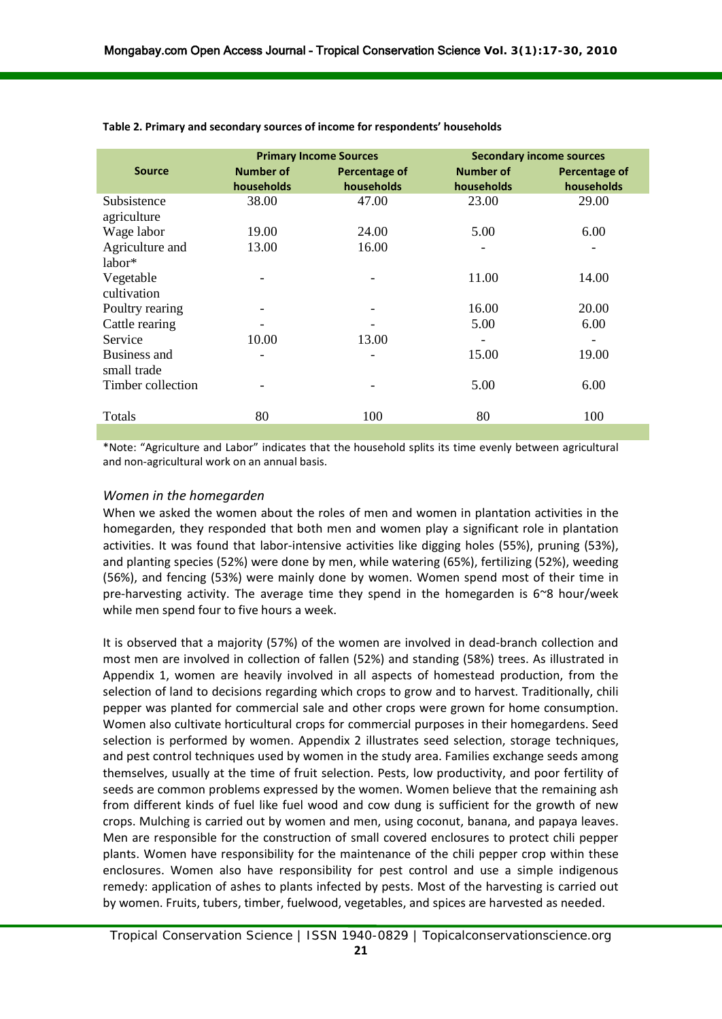|                             | <b>Primary Income Sources</b>  |                             | <b>Secondary income sources</b> |                             |
|-----------------------------|--------------------------------|-----------------------------|---------------------------------|-----------------------------|
| <b>Source</b>               | <b>Number of</b><br>households | Percentage of<br>households | <b>Number of</b><br>households  | Percentage of<br>households |
| Subsistence<br>agriculture  | 38.00                          | 47.00                       | 23.00                           | 29.00                       |
| Wage labor                  | 19.00                          | 24.00                       | 5.00                            | 6.00                        |
| Agriculture and<br>labor*   | 13.00                          | 16.00                       |                                 |                             |
| Vegetable<br>cultivation    |                                |                             | 11.00                           | 14.00                       |
| Poultry rearing             |                                |                             | 16.00                           | 20.00                       |
| Cattle rearing              |                                |                             | 5.00                            | 6.00                        |
| Service                     | 10.00                          | 13.00                       | $\overline{\phantom{a}}$        | $\overline{\phantom{a}}$    |
| Business and<br>small trade | -                              | -                           | 15.00                           | 19.00                       |
| Timber collection           |                                |                             | 5.00                            | 6.00                        |
| Totals                      | 80                             | 100                         | 80                              | 100                         |
|                             |                                |                             |                                 |                             |

**Table 2. Primary and secondary sources of income for respondents' households**

\*Note: "Agriculture and Labor" indicates that the household splits its time evenly between agricultural and non-agricultural work on an annual basis.

#### *Women in the homegarden*

When we asked the women about the roles of men and women in plantation activities in the homegarden, they responded that both men and women play a significant role in plantation activities. It was found that labor-intensive activities like digging holes (55%), pruning (53%), and planting species (52%) were done by men, while watering (65%), fertilizing (52%), weeding (56%), and fencing (53%) were mainly done by women. Women spend most of their time in pre-harvesting activity. The average time they spend in the homegarden is  $6^{\circ}8$  hour/week while men spend four to five hours a week.

It is observed that a majority (57%) of the women are involved in dead-branch collection and most men are involved in collection of fallen (52%) and standing (58%) trees. As illustrated in Appendix 1, women are heavily involved in all aspects of homestead production, from the selection of land to decisions regarding which crops to grow and to harvest. Traditionally, chili pepper was planted for commercial sale and other crops were grown for home consumption. Women also cultivate horticultural crops for commercial purposes in their homegardens. Seed selection is performed by women. Appendix 2 illustrates seed selection, storage techniques, and pest control techniques used by women in the study area. Families exchange seeds among themselves, usually at the time of fruit selection. Pests, low productivity, and poor fertility of seeds are common problems expressed by the women. Women believe that the remaining ash from different kinds of fuel like fuel wood and cow dung is sufficient for the growth of new crops. Mulching is carried out by women and men, using coconut, banana, and papaya leaves. Men are responsible for the construction of small covered enclosures to protect chili pepper plants. Women have responsibility for the maintenance of the chili pepper crop within these enclosures. Women also have responsibility for pest control and use a simple indigenous remedy: application of ashes to plants infected by pests. Most of the harvesting is carried out by women. Fruits, tubers, timber, fuelwood, vegetables, and spices are harvested as needed.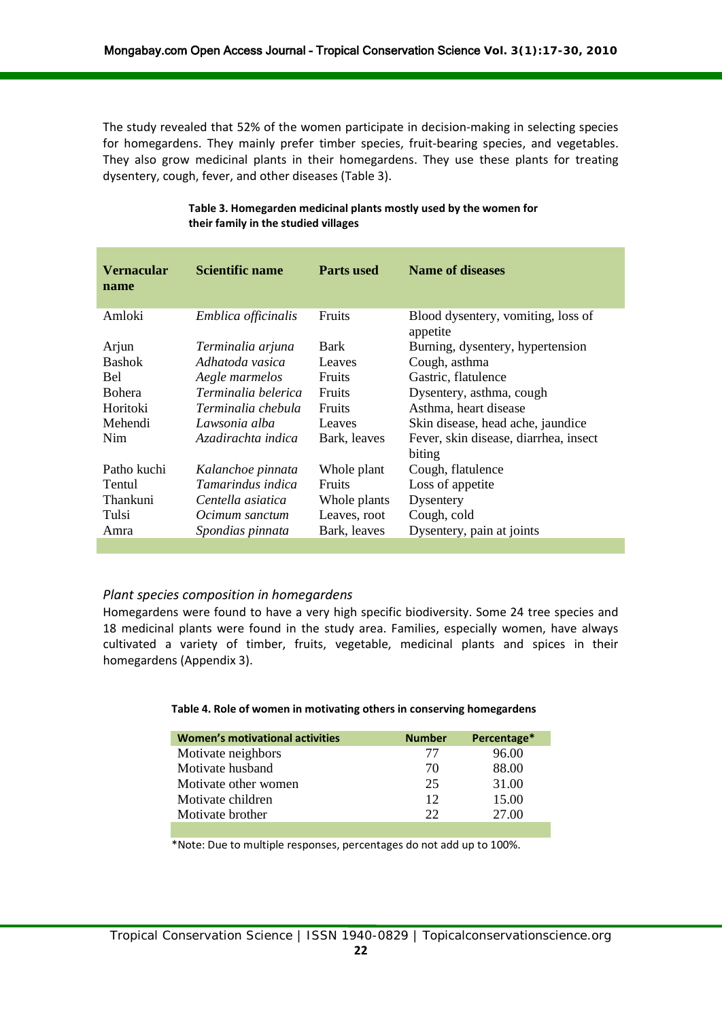The study revealed that 52% of the women participate in decision-making in selecting species for homegardens. They mainly prefer timber species, fruit-bearing species, and vegetables. They also grow medicinal plants in their homegardens. They use these plants for treating dysentery, cough, fever, and other diseases (Table 3).

| <b>Vernacular</b><br>name | Scientific name          | <b>Parts used</b> | <b>Name of diseases</b>                        |
|---------------------------|--------------------------|-------------------|------------------------------------------------|
| Amloki                    | Emblica officinalis      | Fruits            | Blood dysentery, vomiting, loss of<br>appetite |
| Arjun                     | Terminalia arjuna        | <b>Bark</b>       | Burning, dysentery, hypertension               |
| <b>Bashok</b>             | Adhatoda vasica          | Leaves            | Cough, asthma                                  |
| Bel                       | Aegle marmelos           | <b>Fruits</b>     | Gastric, flatulence                            |
| <b>Bohera</b>             | Terminalia belerica      | <b>Fruits</b>     | Dysentery, asthma, cough                       |
| Horitoki                  | Terminalia chebula       | <b>Fruits</b>     | Asthma, heart disease                          |
| Mehendi                   | Lawsonia alba            | Leaves            | Skin disease, head ache, jaundice              |
| <b>Nim</b>                | Azadirachta indica       | Bark, leaves      | Fever, skin disease, diarrhea, insect          |
|                           |                          |                   | biting                                         |
| Patho kuchi               | Kalanchoe pinnata        | Whole plant       | Cough, flatulence                              |
| Tentul                    | <i>Tamarindus indica</i> | <b>Fruits</b>     | Loss of appetite                               |
| Thankuni                  | Centella asiatica        | Whole plants      | Dysentery                                      |
| Tulsi                     | Ocimum sanctum           | Leaves, root      | Cough, cold                                    |
| Amra                      | Spondias pinnata         | Bark, leaves      | Dysentery, pain at joints                      |
|                           |                          |                   |                                                |

#### **Table 3. Homegarden medicinal plants mostly used by the women for their family in the studied villages**

### *Plant species composition in homegardens*

Homegardens were found to have a very high specific biodiversity. Some 24 tree species and 18 medicinal plants were found in the study area. Families, especially women, have always cultivated a variety of timber, fruits, vegetable, medicinal plants and spices in their homegardens (Appendix 3).

#### **Table 4. Role of women in motivating others in conserving homegardens**

| <b>Number</b> | Percentage* |
|---------------|-------------|
| 77            | 96.00       |
| 70            | 88.00       |
| 25            | 31.00       |
| 12            | 15.00       |
| つつ            | 27.00       |
|               |             |

\*Note: Due to multiple responses, percentages do not add up to 100%.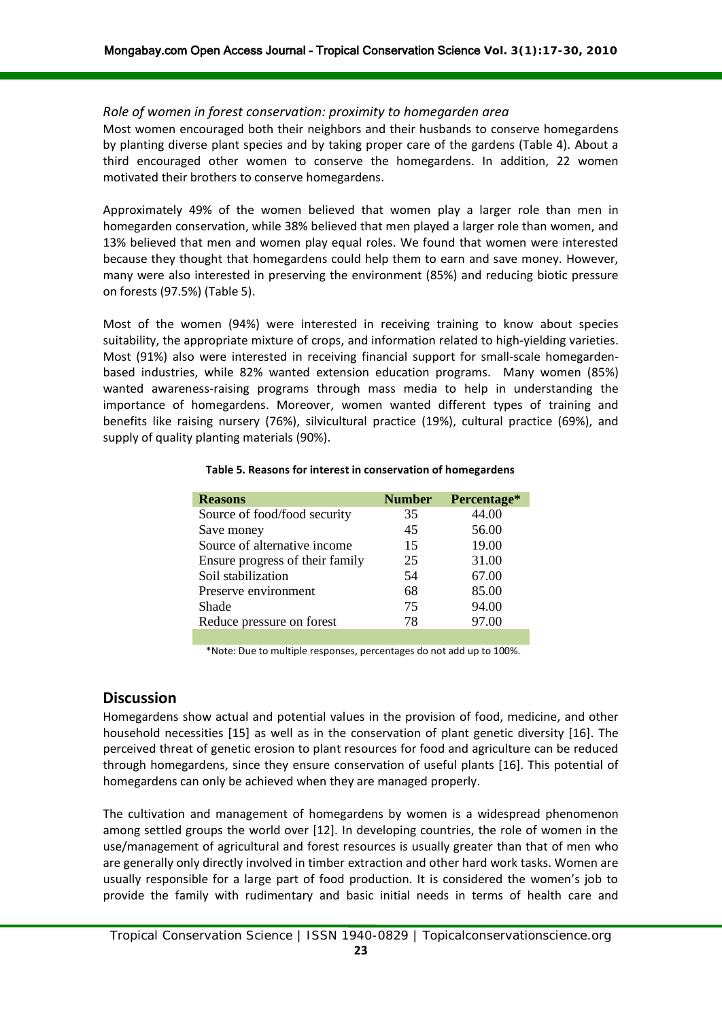#### *Role of women in forest conservation: proximity to homegarden area*

Most women encouraged both their neighbors and their husbands to conserve homegardens by planting diverse plant species and by taking proper care of the gardens (Table 4). About a third encouraged other women to conserve the homegardens. In addition, 22 women motivated their brothers to conserve homegardens.

Approximately 49% of the women believed that women play a larger role than men in homegarden conservation, while 38% believed that men played a larger role than women, and 13% believed that men and women play equal roles. We found that women were interested because they thought that homegardens could help them to earn and save money. However, many were also interested in preserving the environment (85%) and reducing biotic pressure on forests (97.5%) (Table 5).

Most of the women (94%) were interested in receiving training to know about species suitability, the appropriate mixture of crops, and information related to high-yielding varieties. Most (91%) also were interested in receiving financial support for small-scale homegardenbased industries, while 82% wanted extension education programs. Many women (85%) wanted awareness-raising programs through mass media to help in understanding the importance of homegardens. Moreover, women wanted different types of training and benefits like raising nursery (76%), silvicultural practice (19%), cultural practice (69%), and supply of quality planting materials (90%).

#### **Table 5. Reasons for interest in conservation of homegardens**

| <b>Reasons</b>                  | <b>Number</b> | Percentage* |
|---------------------------------|---------------|-------------|
| Source of food/food security    | 35            | 44.00       |
| Save money                      | 45            | 56.00       |
| Source of alternative income    | 15            | 19.00       |
| Ensure progress of their family | 25            | 31.00       |
| Soil stabilization              | 54            | 67.00       |
| Preserve environment            | 68            | 85.00       |
| Shade                           | 75            | 94.00       |
| Reduce pressure on forest       | 78            | 97.00       |

\*Note: Due to multiple responses, percentages do not add up to 100%.

# **Discussion**

Homegardens show actual and potential values in the provision of food, medicine, and other household necessities [15] as well as in the conservation of plant genetic diversity [16]. The perceived threat of genetic erosion to plant resources for food and agriculture can be reduced through homegardens, since they ensure conservation of useful plants [16]. This potential of homegardens can only be achieved when they are managed properly.

The cultivation and management of homegardens by women is a widespread phenomenon among settled groups the world over [12]. In developing countries, the role of women in the use/management of agricultural and forest resources is usually greater than that of men who are generally only directly involved in timber extraction and other hard work tasks. Women are usually responsible for a large part of food production. It is considered the women's job to provide the family with rudimentary and basic initial needs in terms of health care and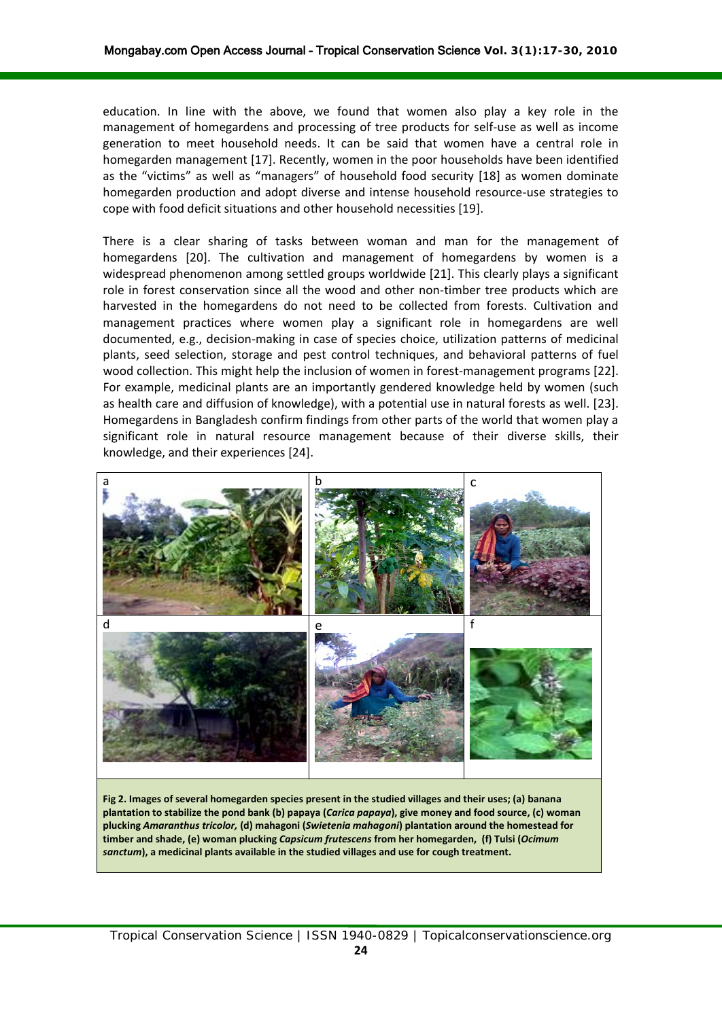education. In line with the above, we found that women also play a key role in the management of homegardens and processing of tree products for self-use as well as income generation to meet household needs. It can be said that women have a central role in homegarden management [17]. Recently, women in the poor households have been identified as the "victims" as well as "managers" of household food security [18] as women dominate homegarden production and adopt diverse and intense household resource-use strategies to cope with food deficit situations and other household necessities [19].

There is a clear sharing of tasks between woman and man for the management of homegardens [20]. The cultivation and management of homegardens by women is a widespread phenomenon among settled groups worldwide [21]. This clearly plays a significant role in forest conservation since all the wood and other non-timber tree products which are harvested in the homegardens do not need to be collected from forests. Cultivation and management practices where women play a significant role in homegardens are well documented, e.g., decision-making in case of species choice, utilization patterns of medicinal plants, seed selection, storage and pest control techniques, and behavioral patterns of fuel wood collection. This might help the inclusion of women in forest-management programs [22]. For example, medicinal plants are an importantly gendered knowledge held by women (such as health care and diffusion of knowledge), with a potential use in natural forests as well. [23]. Homegardens in Bangladesh confirm findings from other parts of the world that women play a significant role in natural resource management because of their diverse skills, their knowledge, and their experiences [24].

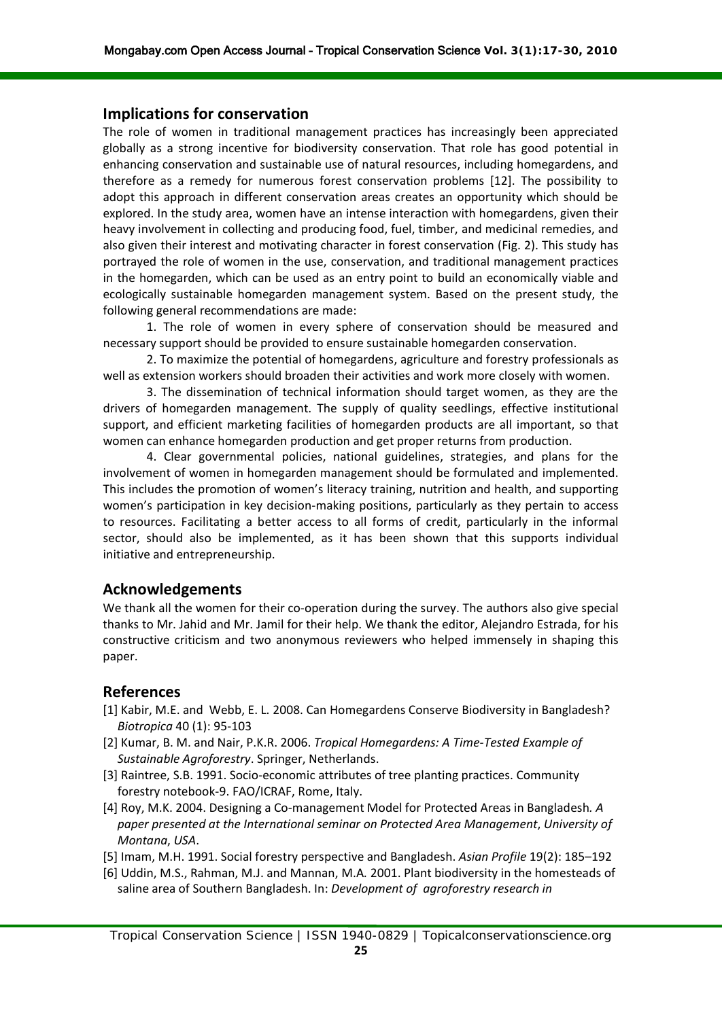## **Implications for conservation**

The role of women in traditional management practices has increasingly been appreciated globally as a strong incentive for biodiversity conservation. That role has good potential in enhancing conservation and sustainable use of natural resources, including homegardens, and therefore as a remedy for numerous forest conservation problems [12]. The possibility to adopt this approach in different conservation areas creates an opportunity which should be explored. In the study area, women have an intense interaction with homegardens, given their heavy involvement in collecting and producing food, fuel, timber, and medicinal remedies, and also given their interest and motivating character in forest conservation (Fig. 2). This study has portrayed the role of women in the use, conservation, and traditional management practices in the homegarden, which can be used as an entry point to build an economically viable and ecologically sustainable homegarden management system. Based on the present study, the following general recommendations are made:

1. The role of women in every sphere of conservation should be measured and necessary support should be provided to ensure sustainable homegarden conservation.

2. To maximize the potential of homegardens, agriculture and forestry professionals as well as extension workers should broaden their activities and work more closely with women.

3. The dissemination of technical information should target women, as they are the drivers of homegarden management. The supply of quality seedlings, effective institutional support, and efficient marketing facilities of homegarden products are all important, so that women can enhance homegarden production and get proper returns from production.

4. Clear governmental policies, national guidelines, strategies, and plans for the involvement of women in homegarden management should be formulated and implemented. This includes the promotion of women's literacy training, nutrition and health, and supporting women's participation in key decision-making positions, particularly as they pertain to access to resources. Facilitating a better access to all forms of credit, particularly in the informal sector, should also be implemented, as it has been shown that this supports individual initiative and entrepreneurship.

# **Acknowledgements**

We thank all the women for their co-operation during the survey. The authors also give special thanks to Mr. Jahid and Mr. Jamil for their help. We thank the editor, Alejandro Estrada, for his constructive criticism and two anonymous reviewers who helped immensely in shaping this paper.

# **References**

- [1] Kabir, M.E. and Webb, E. L. 2008. Can Homegardens Conserve Biodiversity in Bangladesh? *Biotropica* 40 (1): 95-103
- [2] Kumar, B. M. and Nair, P.K.R. 2006. *Tropical Homegardens: A Time-Tested Example of Sustainable Agroforestry*. Springer, Netherlands.
- [3] Raintree, S.B. 1991. Socio-economic attributes of tree planting practices. Community forestry notebook-9. FAO/ICRAF, Rome, Italy.
- [4] Roy, M.K. 2004. Designing a Co-management Model for Protected Areas in Bangladesh*. A paper presented at the International seminar on Protected Area Management*, *University of Montana*, *USA*.
- [5] Imam, M.H. 1991. Social forestry perspective and Bangladesh. *Asian Profile* 19(2): 185–192
- [6] Uddin, M.S., Rahman, M.J. and Mannan, M.A*.* 2001. Plant biodiversity in the homesteads of saline area of Southern Bangladesh. In: *Development of agroforestry research in*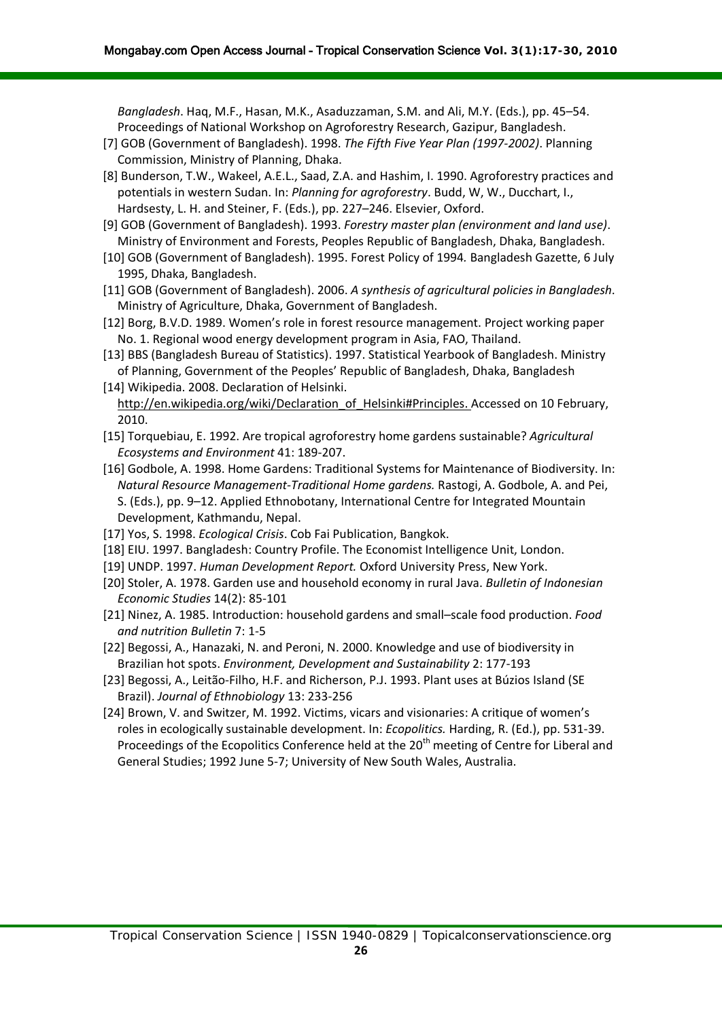*Bangladesh*. Haq, M.F., Hasan, M.K., Asaduzzaman, S.M. and Ali, M.Y. (Eds.), pp. 45–54. Proceedings of National Workshop on Agroforestry Research, Gazipur, Bangladesh.

- [7] GOB (Government of Bangladesh). 1998. *The Fifth Five Year Plan (1997-2002)*. Planning Commission, Ministry of Planning, Dhaka.
- [8] Bunderson, T.W., Wakeel, A.E.L., Saad, Z.A. and Hashim, I. 1990. Agroforestry practices and potentials in western Sudan. In: *Planning for agroforestry*. Budd, W, W., Ducchart, I., Hardsesty, L. H. and Steiner, F. (Eds.), pp. 227–246. Elsevier, Oxford.
- [9] GOB (Government of Bangladesh). 1993. *Forestry master plan (environment and land use)*. Ministry of Environment and Forests, Peoples Republic of Bangladesh, Dhaka, Bangladesh.
- [10] GOB (Government of Bangladesh). 1995. Forest Policy of 1994*.* Bangladesh Gazette, 6 July 1995, Dhaka, Bangladesh.
- [11] GOB (Government of Bangladesh). 2006. *A synthesis of agricultural policies in Bangladesh*. Ministry of Agriculture, Dhaka, Government of Bangladesh.
- [12] Borg, B.V.D. 1989. Women's role in forest resource management. Project working paper No. 1. Regional wood energy development program in Asia, FAO, Thailand.
- [13] BBS (Bangladesh Bureau of Statistics). 1997. Statistical Yearbook of Bangladesh. Ministry of Planning, Government of the Peoples' Republic of Bangladesh, Dhaka, Bangladesh
- [14] Wikipedia. 2008. Declaration of Helsinki. [http://en.wikipedia.org/wiki/Declaration\\_of\\_Helsinki#Principles.](http://en.wikipedia.org/wiki/Declaration_of_Helsinki#Principles) Accessed on 10 February, 2010.
- [15] Torquebiau, E. 1992. Are tropical agroforestry home gardens sustainable? *Agricultural Ecosystems and Environment* 41: 189-207.
- [16] Godbole, A. 1998. Home Gardens: Traditional Systems for Maintenance of Biodiversity. In: *Natural Resource Management-Traditional Home gardens.* Rastogi, A. Godbole, A. and Pei, S. (Eds.), pp. 9–12. Applied Ethnobotany, International Centre for Integrated Mountain Development, Kathmandu, Nepal.
- [17] Yos, S. 1998. *Ecological Crisis*. Cob Fai Publication, Bangkok.
- [18] EIU. 1997. Bangladesh: Country Profile. The Economist Intelligence Unit, London.
- [19] UNDP. 1997. *Human Development Report.* Oxford University Press, New York.
- [20] Stoler, A. 1978. Garden use and household economy in rural Java. *Bulletin of Indonesian Economic Studies* 14(2): 85-101
- [21] Ninez, A. 1985. Introduction: household gardens and small–scale food production. *Food and nutrition Bulletin* 7: 1-5
- [22] Begossi, A., Hanazaki, N. and Peroni, N. 2000. Knowledge and use of biodiversity in Brazilian hot spots. *Environment, Development and Sustainability* 2: 177-193
- [23] Begossi, A., Leitão-Filho, H.F. and Richerson, P.J. 1993. Plant uses at Búzios Island (SE Brazil). *Journal of Ethnobiology* 13: 233-256
- [24] Brown, V. and Switzer, M. 1992. Victims, vicars and visionaries: A critique of women's roles in ecologically sustainable development. In: *Ecopolitics.* Harding, R. (Ed.), pp. 531-39. Proceedings of the Ecopolitics Conference held at the 20<sup>th</sup> meeting of Centre for Liberal and General Studies; 1992 June 5-7; University of New South Wales, Australia.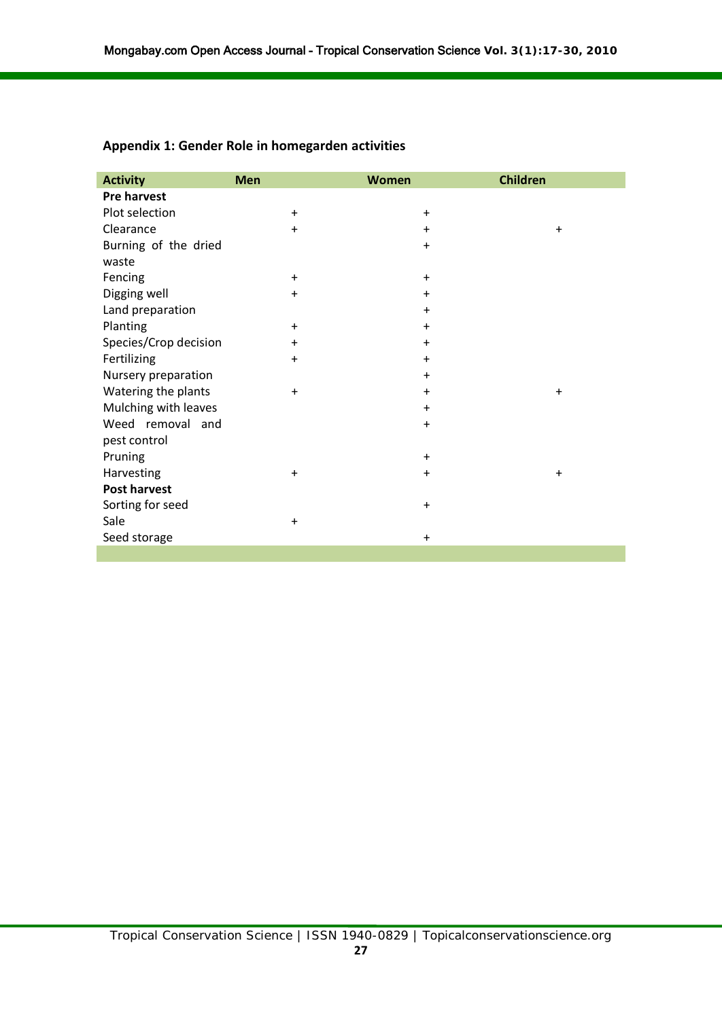| <b>Activity</b>       | <b>Men</b> | <b>Women</b> | <b>Children</b> |
|-----------------------|------------|--------------|-----------------|
| <b>Pre harvest</b>    |            |              |                 |
| Plot selection        | $\ddot{}$  | $\ddot{}$    |                 |
| Clearance             | $+$        | $+$          | $+$             |
| Burning of the dried  |            | $\ddot{}$    |                 |
| waste                 |            |              |                 |
| Fencing               | $+$        | $\ddot{}$    |                 |
| Digging well          | $+$        | $\ddot{}$    |                 |
| Land preparation      |            | $+$          |                 |
| Planting              | $+$        | $\ddot{}$    |                 |
| Species/Crop decision | $+$        | $\ddot{}$    |                 |
| Fertilizing           | $\ddot{}$  | $\ddot{}$    |                 |
| Nursery preparation   |            | $\ddot{}$    |                 |
| Watering the plants   | $+$        | $\ddot{}$    | $\ddot{}$       |
| Mulching with leaves  |            | $\ddot{}$    |                 |
| Weed removal and      |            | $\ddot{}$    |                 |
| pest control          |            |              |                 |
| Pruning               |            | $\ddot{}$    |                 |
| Harvesting            | $+$        | $\ddot{}$    | $\ddot{}$       |
| <b>Post harvest</b>   |            |              |                 |
| Sorting for seed      |            | $\ddot{}$    |                 |
| Sale                  | $+$        |              |                 |
| Seed storage          |            | $\ddot{}$    |                 |

# **Appendix 1: Gender Role in homegarden activities**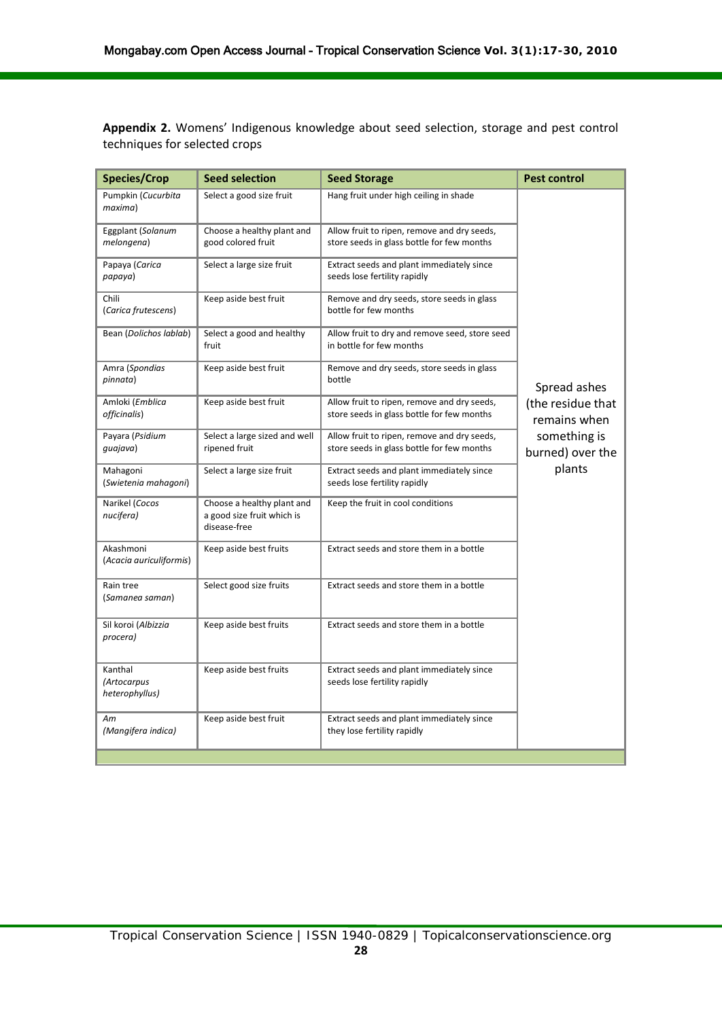**Appendix 2.** Womens' Indigenous knowledge about seed selection, storage and pest control techniques for selected crops

| <b>Species/Crop</b>                      | <b>Seed selection</b>                                                    | <b>Seed Storage</b>                                                                       | <b>Pest control</b>               |
|------------------------------------------|--------------------------------------------------------------------------|-------------------------------------------------------------------------------------------|-----------------------------------|
| Pumpkin (Cucurbita<br>maxima)            | Select a good size fruit                                                 | Hang fruit under high ceiling in shade                                                    |                                   |
| Eggplant (Solanum<br>melongena)          | Choose a healthy plant and<br>good colored fruit                         | Allow fruit to ripen, remove and dry seeds,<br>store seeds in glass bottle for few months |                                   |
| Papaya (Carica<br>papaya)                | Select a large size fruit                                                | Extract seeds and plant immediately since<br>seeds lose fertility rapidly                 |                                   |
| Chili<br>(Carica frutescens)             | Keep aside best fruit                                                    | Remove and dry seeds, store seeds in glass<br>bottle for few months                       |                                   |
| Bean (Dolichos lablab)                   | Select a good and healthy<br>fruit                                       | Allow fruit to dry and remove seed, store seed<br>in bottle for few months                |                                   |
| Amra (Spondias<br>pinnata)               | Keep aside best fruit                                                    | Remove and dry seeds, store seeds in glass<br>bottle                                      | Spread ashes                      |
| Amloki (Emblica<br>officinalis)          | Keep aside best fruit                                                    | Allow fruit to ripen, remove and dry seeds,<br>store seeds in glass bottle for few months | (the residue that<br>remains when |
| Payara (Psidium<br>quajava)              | Select a large sized and well<br>ripened fruit                           | Allow fruit to ripen, remove and dry seeds,<br>store seeds in glass bottle for few months | something is<br>burned) over the  |
| Mahagoni<br>(Swietenia mahagoni)         | Select a large size fruit                                                | Extract seeds and plant immediately since<br>seeds lose fertility rapidly                 | plants                            |
| Narikel (Cocos<br>nucifera)              | Choose a healthy plant and<br>a good size fruit which is<br>disease-free | Keep the fruit in cool conditions                                                         |                                   |
| Akashmoni<br>(Acacia auriculiformis)     | Keep aside best fruits                                                   | Extract seeds and store them in a bottle                                                  |                                   |
| Rain tree<br>(Samanea saman)             | Select good size fruits                                                  | Extract seeds and store them in a bottle                                                  |                                   |
| Sil koroi (Albizzia<br>procera)          | Keep aside best fruits                                                   | Extract seeds and store them in a bottle                                                  |                                   |
| Kanthal<br>(Artocarpus<br>heterophyllus) | Keep aside best fruits                                                   | Extract seeds and plant immediately since<br>seeds lose fertility rapidly                 |                                   |
| Am<br>(Mangifera indica)                 | Keep aside best fruit                                                    | Extract seeds and plant immediately since<br>they lose fertility rapidly                  |                                   |
|                                          |                                                                          |                                                                                           |                                   |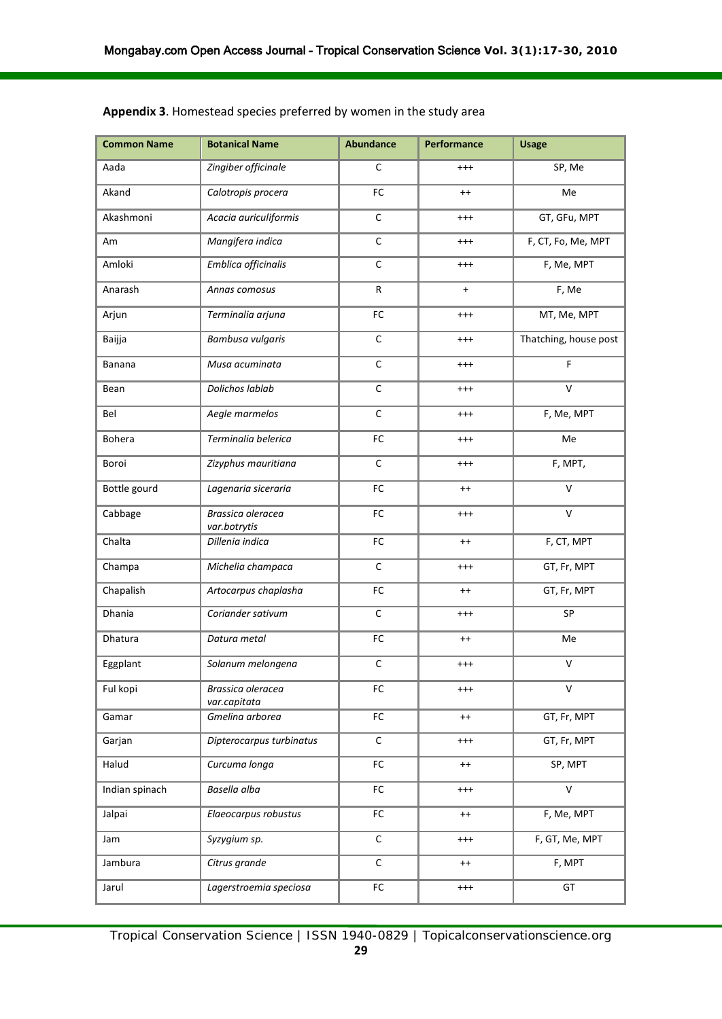| <b>Common Name</b> | <b>Botanical Name</b>             | <b>Abundance</b> | Performance | <b>Usage</b>          |
|--------------------|-----------------------------------|------------------|-------------|-----------------------|
| Aada               | Zingiber officinale               | $\mathsf C$      | $^{+++}$    | SP, Me                |
| Akand              | Calotropis procera                | FC               | $^{++}$     | Me                    |
| Akashmoni          | Acacia auriculiformis             | C                | $^{+++}$    | GT, GFu, MPT          |
| Am                 | Mangifera indica                  | $\mathsf C$      | $^{+++}$    | F, CT, Fo, Me, MPT    |
| Amloki             | Emblica officinalis               | $\mathsf C$      | $^{+++}$    | F, Me, MPT            |
| Anarash            | Annas comosus                     | $\mathsf{R}$     | $\ddot{}$   | F, Me                 |
| Arjun              | Terminalia arjuna                 | ${\sf FC}$       | $^{+++}$    | MT, Me, MPT           |
| Baijja             | Bambusa vulgaris                  | $\mathsf C$      | $^{+++}$    | Thatching, house post |
| Banana             | Musa acuminata                    | $\mathsf C$      | $^{+++}$    | $\mathsf F$           |
| Bean               | Dolichos lablab                   | $\mathsf C$      | $^{+++}$    | $\vee$                |
| Bel                | Aegle marmelos                    | $\mathsf C$      | $^{+++}$    | F, Me, MPT            |
| Bohera             | Terminalia belerica               | FC               | $^{+++}$    | Me                    |
| Boroi              | Zizyphus mauritiana               | $\mathsf C$      | $^{+++}$    | F, MPT,               |
| Bottle gourd       | Lagenaria siceraria               | ${\sf FC}$       | $^{++}$     | $\vee$                |
| Cabbage            | Brassica oleracea<br>var.botrytis | FC               | $^{+++}$    | $\vee$                |
| Chalta             | Dillenia indica                   | ${\sf FC}$       | $^{++}$     | F, CT, MPT            |
| Champa             | Michelia champaca                 | $\mathsf C$      | $^{+++}$    | GT, Fr, MPT           |
| Chapalish          | Artocarpus chaplasha              | FC               | $^{++}$     | GT, Fr, MPT           |
| Dhania             | Coriander sativum                 | $\mathsf C$      | $^{+++}$    | SP                    |
| Dhatura            | Datura metal                      | ${\sf FC}$       | $^{++}$     | Me                    |
| Eggplant           | Solanum melongena                 | $\mathsf C$      | $^{+++}$    | $\vee$                |
| Ful kopi           | Brassica oleracea<br>var.capitata | FC               | $^{+++}$    | v                     |
| Gamar              | Gmelina arborea                   | ${\sf FC}$       | $^{++}$     | GT, Fr, MPT           |
| Garjan             | Dipterocarpus turbinatus          | $\mathsf C$      | $^{+++}$    | GT, Fr, MPT           |
| Halud              | Curcuma longa                     | ${\sf FC}$       | $^{++}$     | SP, MPT               |
| Indian spinach     | Basella alba                      | ${\sf FC}$       | $^{+++}$    | $\vee$                |
| Jalpai             | Elaeocarpus robustus              | ${\sf FC}$       | $^{++}$     | F, Me, MPT            |
| Jam                | Syzygium sp.                      | $\mathsf C$      | $^{+++}$    | F, GT, Me, MPT        |
| Jambura            | Citrus grande                     | $\mathsf C$      | $^{++}$     | F, MPT                |
| Jarul              | Lagerstroemia speciosa            | ${\sf FC}$       | $^{+++}$    | GT                    |

## **Appendix 3**. Homestead species preferred by women in the study area